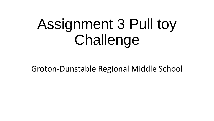# Assignment 3 Pull toy Challenge

#### Groton-Dunstable Regional Middle School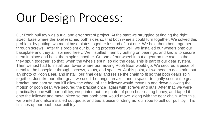#### Our Design Process:

Our Pooh pull toy was a trial and error sort of project. At the start we struggled at finding the right sized base where the axel reached both sides so that both wheels could turn together. We solved this problem by putting two metal base plates together instead of just one. We held them both together through screws. After this problem our building process went well, we installed our wheels onto our baseplate and they all spinned freely. We installed them by putting on bearings, and knut's to secure them in place and help them spin smoother. On one of our wheel in put a gear on the axel so that they spun together, so that when the wheels spun, so did the gear. This is part of our gear system. Then we just had to install our tower where our moving Pooh Bear would go. We secured a piece of metal to the baseplate through screws, knuts, and spacers. At this point, all we need to do is print out an photo of Pooh Bear, and install our final gear and resize the chain to fit so that both gears spin together. Just like our other gear, we used bearings, an axel, and a spacer to tightly secure the gear, bracket, and cam so that it'll allow the wheel of the follower would move up and down allowing the motion of pooh bear. We secured the bracket once again with screws and nuts. After that, we were practically done with our pull toy, we printed out our photo of pooh bear eating honey, and taped it onto the follower and metal piece so that pooh bear would move along with the gear chain. After this, we printed and also installed out quote, and tied a piece of string as our rope to pull our pull toy. This finishes up our pooh bear pull toy!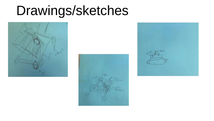## Drawings/sketches





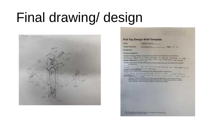## Final drawing/ design



#### **Pull Toy Design Brief Template**

Citerii.

Walcoart

**Elablicity** 

**Target Corroumer** 

Ages: 3 - 113

**Genigmer(e)** 

**Problem Statement** 

latestly the design proteon or opportunity and create a state statement to surstrainted it. com a wid and a have retous to keep me accuring. a med forecasing that's every set many which my amazone is up, manying Design Statement is police with

Crants a statement that bradle describes the normal policy) data that can address the proteining w.copera.ney.

Drugs, tried and scope and been a one-precipal my year. Seen harm means shopped possible macring free long. **Criteria sed Constraints** 

fidentify and incertaria and spratrains for the emage precises or opportunity.

over soon it cars such link work in with a sheet increase percents, from deep looked with also wants, medaling by the in since chapter in Debugesbesungel School

Use your Dateway Notebook to installe a deserted description of the Design Presence. Summarize your work dering each page of the process. In Disk- does members (without work, statuton, CAD drawings, images) to superif your songs.

man type Design and Modeling Copyright 3.1 Percepts to The Design Bred in this important I haven marked 1.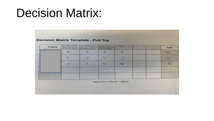#### Decision Matrix:

| Criteria | 4 anneet,<br><b>System</b> | Bulling | methan             | Voqeta.      | <b>Total</b> |
|----------|----------------------------|---------|--------------------|--------------|--------------|
|          | 4                          | з       | У                  | $\mathbf{z}$ | 15           |
|          | $\overline{2}$             | 3       | $\mathcal{L}$      |              | 12           |
|          | 4/                         | з       | $\epsilon_{\rm I}$ | تسا          | $\sim$       |
|          |                            |         |                    |              |              |
|          |                            |         |                    |              |              |